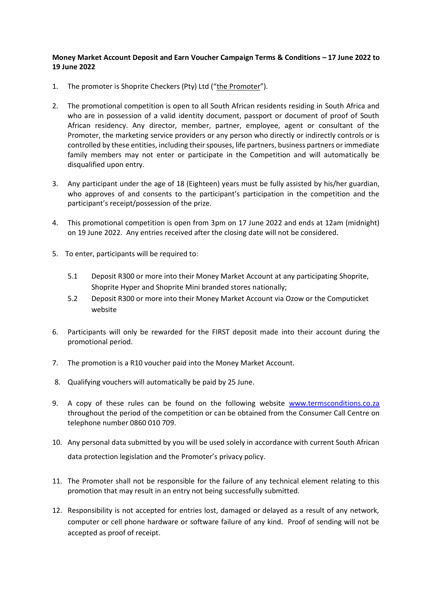## **Money Market Account Deposit and Earn Voucher Campaign Terms & Conditions – 17 June 2022 to 19 June 2022**

- 1. The promoter is Shoprite Checkers (Pty) Ltd ("the Promoter").
- 2. The promotional competition is open to all South African residents residing in South Africa and who are in possession of a valid identity document, passport or document of proof of South African residency. Any director, member, partner, employee, agent or consultant of the Promoter, the marketing service providers or any person who directly or indirectly controls or is controlled by these entities, including their spouses, life partners, business partners or immediate family members may not enter or participate in the Competition and will automatically be disqualified upon entry.
- 3. Any participant under the age of 18 (Eighteen) years must be fully assisted by his/her guardian, who approves of and consents to the participant's participation in the competition and the participant's receipt/possession of the prize.
- 4. This promotional competition is open from 3pm on 17 June 2022 and ends at 12am (midnight) on 19 June 2022. Any entries received after the closing date will not be considered.
- 5. To enter, participants will be required to:
	- 5.1 Deposit R300 or more into their Money Market Account at any participating Shoprite, Shoprite Hyper and Shoprite Mini branded stores nationally;
	- 5.2 Deposit R300 or more into their Money Market Account via Ozow or the Computicket website
- 6. Participants will only be rewarded for the FIRST deposit made into their account during the promotional period.
- 7. The promotion is a R10 voucher paid into the Money Market Account.
- 8. Qualifying vouchers will automatically be paid by 25 June.
- 9. A copy of these rules can be found on the following website [www.termsconditions.co.za](http://www.termsconditions.co.za/) throughout the period of the competition or can be obtained from the Consumer Call Centre on telephone number 0860 010 709.
- 10. Any personal data submitted by you will be used solely in accordance with current South African data protection legislation and the Promoter's privacy policy.
- 11. The Promoter shall not be responsible for the failure of any technical element relating to this promotion that may result in an entry not being successfully submitted.
- 12. Responsibility is not accepted for entries lost, damaged or delayed as a result of any network, computer or cell phone hardware or software failure of any kind. Proof of sending will not be accepted as proof of receipt.